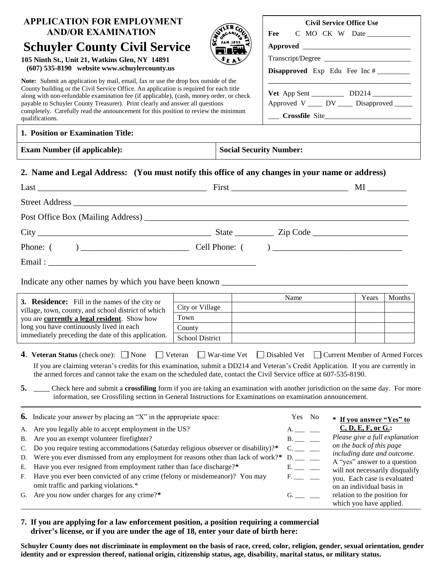| <b>APPLICATION FOR EMPLOYMENT</b><br><b>AND/OR EXAMINATION</b><br><b>Schuyler County Civil Service</b><br>105 Ninth St., Unit 21, Watkins Glen, NY 14891<br>(607) 535-8190 website www.schuylercounty.us<br>Note: Submit an application by mail, email, fax or use the drop box outside of the<br>County building or the Civil Service Office. An application is required for each title<br>along with non-refundable examination fee (if applicable), (cash, money order, or check<br>payable to Schuyler County Treasurer). Print clearly and answer all questions<br>completely. Carefully read the announcement for this position to review the minimum<br>qualifications. |                                  | STREAMING<br>EΑ     | Fee<br><b>Disapproved</b> Exp Edu Fee Inc #<br>Approved V ____ DV ____ Disapproved _____<br>$\frac{1}{2}$ Crossfile Site                      | <b>Civil Service Office Use</b><br>C MO CK W Date |        |
|--------------------------------------------------------------------------------------------------------------------------------------------------------------------------------------------------------------------------------------------------------------------------------------------------------------------------------------------------------------------------------------------------------------------------------------------------------------------------------------------------------------------------------------------------------------------------------------------------------------------------------------------------------------------------------|----------------------------------|---------------------|-----------------------------------------------------------------------------------------------------------------------------------------------|---------------------------------------------------|--------|
| 1. Position or Examination Title:<br><b>Exam Number (if applicable):</b>                                                                                                                                                                                                                                                                                                                                                                                                                                                                                                                                                                                                       |                                  |                     | <b>Social Security Number:</b>                                                                                                                |                                                   |        |
|                                                                                                                                                                                                                                                                                                                                                                                                                                                                                                                                                                                                                                                                                |                                  |                     |                                                                                                                                               |                                                   |        |
| 2. Name and Legal Address: (You must notify this office of any changes in your name or address)                                                                                                                                                                                                                                                                                                                                                                                                                                                                                                                                                                                |                                  |                     |                                                                                                                                               |                                                   |        |
| Street Address and the state of the state of the state of the state of the state of the state of the state of the state of the state of the state of the state of the state of the state of the state of the state of the stat                                                                                                                                                                                                                                                                                                                                                                                                                                                 |                                  |                     |                                                                                                                                               |                                                   |        |
|                                                                                                                                                                                                                                                                                                                                                                                                                                                                                                                                                                                                                                                                                |                                  |                     |                                                                                                                                               |                                                   |        |
|                                                                                                                                                                                                                                                                                                                                                                                                                                                                                                                                                                                                                                                                                |                                  |                     |                                                                                                                                               |                                                   |        |
|                                                                                                                                                                                                                                                                                                                                                                                                                                                                                                                                                                                                                                                                                |                                  |                     |                                                                                                                                               |                                                   |        |
|                                                                                                                                                                                                                                                                                                                                                                                                                                                                                                                                                                                                                                                                                |                                  |                     |                                                                                                                                               |                                                   |        |
|                                                                                                                                                                                                                                                                                                                                                                                                                                                                                                                                                                                                                                                                                |                                  |                     |                                                                                                                                               |                                                   |        |
|                                                                                                                                                                                                                                                                                                                                                                                                                                                                                                                                                                                                                                                                                |                                  |                     |                                                                                                                                               |                                                   |        |
| 3. Residence: Fill in the names of the city or                                                                                                                                                                                                                                                                                                                                                                                                                                                                                                                                                                                                                                 |                                  |                     | Name                                                                                                                                          | Years                                             | Months |
| village, town, county, and school district of which                                                                                                                                                                                                                                                                                                                                                                                                                                                                                                                                                                                                                            | City or Village                  |                     |                                                                                                                                               |                                                   |        |
| you are currently a legal resident. Show how                                                                                                                                                                                                                                                                                                                                                                                                                                                                                                                                                                                                                                   | Town                             |                     |                                                                                                                                               |                                                   |        |
| long you have continuously lived in each<br>immediately preceding the date of this application.                                                                                                                                                                                                                                                                                                                                                                                                                                                                                                                                                                                | County<br><b>School District</b> |                     |                                                                                                                                               |                                                   |        |
| <b>4. Veteran Status</b> (check one): $\Box$ None<br>If you are claiming veteran's credits for this examination, submit a DD214 and Veteran's Credit Application. If you are currently in<br>the armed forces and cannot take the exam on the scheduled date, contact the Civil Service office at 607-535-8190.                                                                                                                                                                                                                                                                                                                                                                | Veteran                          | $\Box$ War-time Vet | Disabled Vet<br>Check here and submit a crossfiling form if you are taking an examination with another jurisdiction on the same day. For more | Current Member of Armed Forces                    |        |

E. Have you ever resigned from employment rather than face discharge?\* E. \_\_ \_

| $E$ . Have you ever resigned from employment rather than race discharge.      | will not necessarily disqualify |
|-------------------------------------------------------------------------------|---------------------------------|
| F. Have you ever been convicted of any crime (felony or misdemeanor)? You may | you. Each case is evaluated     |
| omit traffic and parking violations.*                                         | on an individual basis in       |
| G. Are you now under charges for any crime?*                                  | relation to the position for    |
|                                                                               |                                 |

## **7. If you are applying for a law enforcement position, a position requiring a commercial** driver's license, or if you are under the age of 18, enter your date of birth here:

**Schuyler County does not discriminate in employment on the basis of race, creed, color, religion, gender, sexual orientation, gender identity and or expression thereof, national origin, citizenship status, age, disability, marital status, or military status.**

which you have applied.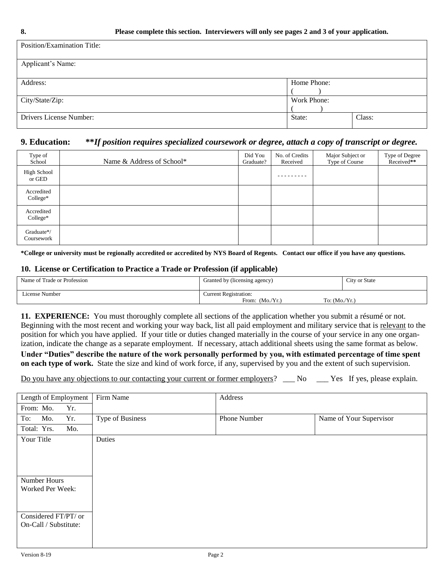| Position/Examination Title: |             |        |
|-----------------------------|-------------|--------|
| Applicant's Name:           |             |        |
| Address:                    | Home Phone: |        |
| City/State/Zip:             | Work Phone: |        |
| Drivers License Number:     | State:      | Class: |

## **9. Education: \*\****If position requires specialized coursework or degree, attach a copy of transcript or degree.*

| Type of<br>School        | Name & Address of School* | Did You<br>Graduate? | No. of Credits<br>Received | Major Subject or<br>Type of Course | Type of Degree<br>Received** |
|--------------------------|---------------------------|----------------------|----------------------------|------------------------------------|------------------------------|
| High School<br>or GED    |                           |                      |                            |                                    |                              |
| Accredited<br>College*   |                           |                      |                            |                                    |                              |
| Accredited<br>$Collect*$ |                           |                      |                            |                                    |                              |
| Graduate*/<br>Coursework |                           |                      |                            |                                    |                              |

**\*College or university must be regionally accredited or accredited by NYS Board of Regents. Contact our office if you have any questions.**

## **10. License or Certification to Practice a Trade or Profession (if applicable)**

| Name of Trade or Profession | Granted by (licensing agency)       | City or State |
|-----------------------------|-------------------------------------|---------------|
| License Number              | Current Registration:               |               |
|                             | From: $(Mo/Yr.)$<br>To: $(Mo/Yr)$ . |               |

**11. EXPERIENCE:** You must thoroughly complete all sections of the application whether you submit a résumé or not. Beginning with the most recent and working your way back, list all paid employment and military service that is relevant to the position for which you have applied. If your title or duties changed materially in the course of your service in any one organization, indicate the change as a separate employment. If necessary, attach additional sheets using the same format as below.

**Under "Duties" describe the nature of the work personally performed by you, with estimated percentage of time spent on each type of work.** State the size and kind of work force, if any, supervised by you and the extent of such supervision.

|  |  | Do you have any objections to our contacting your current or former employers? | Nο | Yes If yes, please explain. |
|--|--|--------------------------------------------------------------------------------|----|-----------------------------|
|  |  |                                                                                |    |                             |

| Length of Employment  | Firm Name        | Address      |                         |
|-----------------------|------------------|--------------|-------------------------|
| Yr.<br>From: Mo.      |                  |              |                         |
| To:<br>Mo.<br>Yr.     | Type of Business | Phone Number | Name of Your Supervisor |
| Total: Yrs.<br>Mo.    |                  |              |                         |
| Your Title            | Duties           |              |                         |
|                       |                  |              |                         |
|                       |                  |              |                         |
|                       |                  |              |                         |
| Number Hours          |                  |              |                         |
| Worked Per Week:      |                  |              |                         |
|                       |                  |              |                         |
| Considered FT/PT/ or  |                  |              |                         |
| On-Call / Substitute: |                  |              |                         |
|                       |                  |              |                         |
|                       |                  |              |                         |